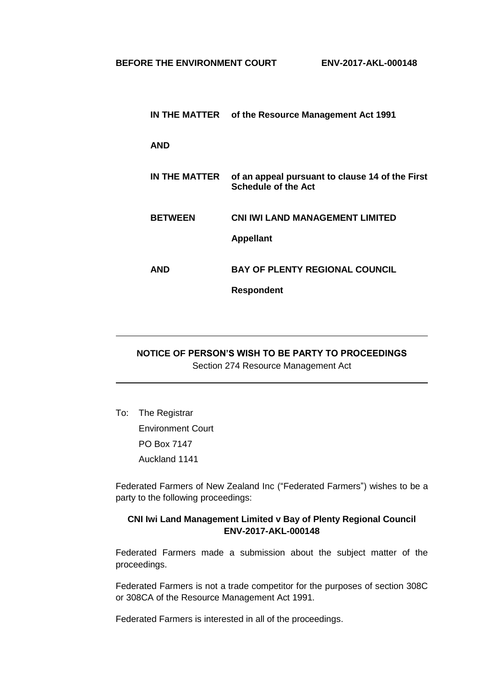|                | IN THE MATTER of the Resource Management Act 1991                             |
|----------------|-------------------------------------------------------------------------------|
| <b>AND</b>     |                                                                               |
| IN THE MATTER  | of an appeal pursuant to clause 14 of the First<br><b>Schedule of the Act</b> |
| <b>BETWEEN</b> | <b>CNI IWI LAND MANAGEMENT LIMITED</b><br><b>Appellant</b>                    |
| AND            | <b>BAY OF PLENTY REGIONAL COUNCIL</b><br><b>Respondent</b>                    |
|                |                                                                               |

## **NOTICE OF PERSON'S WISH TO BE PARTY TO PROCEEDINGS** Section 274 Resource Management Act

To: The Registrar Environment Court PO Box 7147 Auckland 1141

Federated Farmers of New Zealand Inc ("Federated Farmers") wishes to be a party to the following proceedings:

## **CNI Iwi Land Management Limited v Bay of Plenty Regional Council ENV-2017-AKL-000148**

Federated Farmers made a submission about the subject matter of the proceedings.

Federated Farmers is not a trade competitor for the purposes of section 308C or 308CA of the Resource Management Act 1991.

Federated Farmers is interested in all of the proceedings.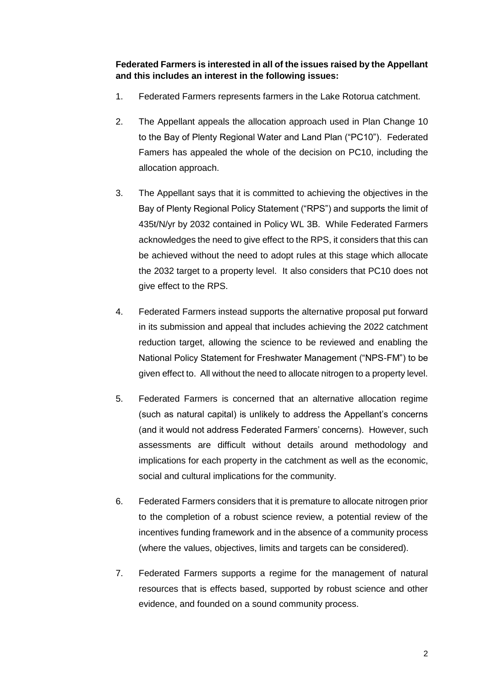**Federated Farmers is interested in all of the issues raised by the Appellant and this includes an interest in the following issues:**

- 1. Federated Farmers represents farmers in the Lake Rotorua catchment.
- 2. The Appellant appeals the allocation approach used in Plan Change 10 to the Bay of Plenty Regional Water and Land Plan ("PC10"). Federated Famers has appealed the whole of the decision on PC10, including the allocation approach.
- 3. The Appellant says that it is committed to achieving the objectives in the Bay of Plenty Regional Policy Statement ("RPS") and supports the limit of 435t/N/yr by 2032 contained in Policy WL 3B. While Federated Farmers acknowledges the need to give effect to the RPS, it considers that this can be achieved without the need to adopt rules at this stage which allocate the 2032 target to a property level. It also considers that PC10 does not give effect to the RPS.
- 4. Federated Farmers instead supports the alternative proposal put forward in its submission and appeal that includes achieving the 2022 catchment reduction target, allowing the science to be reviewed and enabling the National Policy Statement for Freshwater Management ("NPS-FM") to be given effect to. All without the need to allocate nitrogen to a property level.
- 5. Federated Farmers is concerned that an alternative allocation regime (such as natural capital) is unlikely to address the Appellant's concerns (and it would not address Federated Farmers' concerns). However, such assessments are difficult without details around methodology and implications for each property in the catchment as well as the economic, social and cultural implications for the community.
- 6. Federated Farmers considers that it is premature to allocate nitrogen prior to the completion of a robust science review, a potential review of the incentives funding framework and in the absence of a community process (where the values, objectives, limits and targets can be considered).
- 7. Federated Farmers supports a regime for the management of natural resources that is effects based, supported by robust science and other evidence, and founded on a sound community process.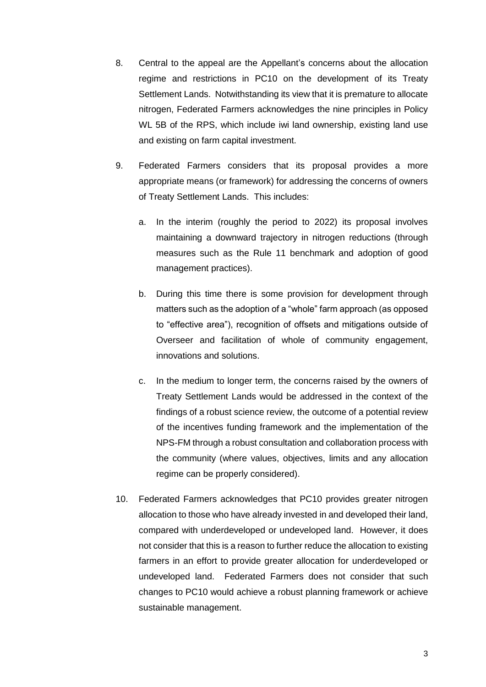- 8. Central to the appeal are the Appellant's concerns about the allocation regime and restrictions in PC10 on the development of its Treaty Settlement Lands. Notwithstanding its view that it is premature to allocate nitrogen, Federated Farmers acknowledges the nine principles in Policy WL 5B of the RPS, which include iwi land ownership, existing land use and existing on farm capital investment.
- 9. Federated Farmers considers that its proposal provides a more appropriate means (or framework) for addressing the concerns of owners of Treaty Settlement Lands. This includes:
	- a. In the interim (roughly the period to 2022) its proposal involves maintaining a downward trajectory in nitrogen reductions (through measures such as the Rule 11 benchmark and adoption of good management practices).
	- b. During this time there is some provision for development through matters such as the adoption of a "whole" farm approach (as opposed to "effective area"), recognition of offsets and mitigations outside of Overseer and facilitation of whole of community engagement, innovations and solutions.
	- c. In the medium to longer term, the concerns raised by the owners of Treaty Settlement Lands would be addressed in the context of the findings of a robust science review, the outcome of a potential review of the incentives funding framework and the implementation of the NPS-FM through a robust consultation and collaboration process with the community (where values, objectives, limits and any allocation regime can be properly considered).
- 10. Federated Farmers acknowledges that PC10 provides greater nitrogen allocation to those who have already invested in and developed their land, compared with underdeveloped or undeveloped land. However, it does not consider that this is a reason to further reduce the allocation to existing farmers in an effort to provide greater allocation for underdeveloped or undeveloped land. Federated Farmers does not consider that such changes to PC10 would achieve a robust planning framework or achieve sustainable management.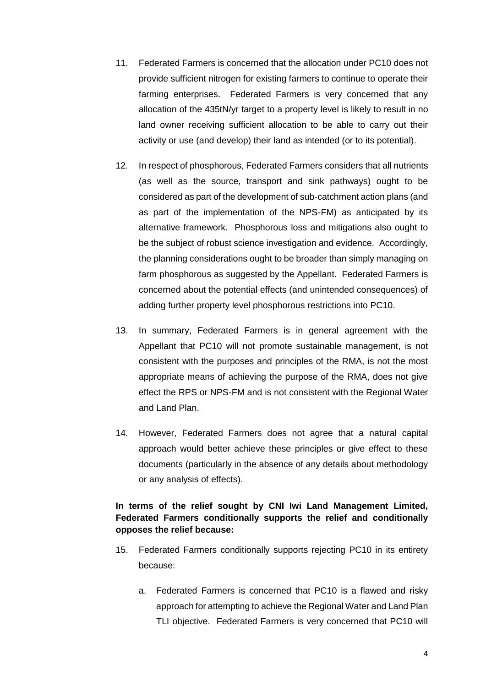- 11. Federated Farmers is concerned that the allocation under PC10 does not provide sufficient nitrogen for existing farmers to continue to operate their farming enterprises. Federated Farmers is very concerned that any allocation of the 435tN/yr target to a property level is likely to result in no land owner receiving sufficient allocation to be able to carry out their activity or use (and develop) their land as intended (or to its potential).
- 12. In respect of phosphorous, Federated Farmers considers that all nutrients (as well as the source, transport and sink pathways) ought to be considered as part of the development of sub-catchment action plans (and as part of the implementation of the NPS-FM) as anticipated by its alternative framework. Phosphorous loss and mitigations also ought to be the subject of robust science investigation and evidence. Accordingly, the planning considerations ought to be broader than simply managing on farm phosphorous as suggested by the Appellant. Federated Farmers is concerned about the potential effects (and unintended consequences) of adding further property level phosphorous restrictions into PC10.
- 13. In summary, Federated Farmers is in general agreement with the Appellant that PC10 will not promote sustainable management, is not consistent with the purposes and principles of the RMA, is not the most appropriate means of achieving the purpose of the RMA, does not give effect the RPS or NPS-FM and is not consistent with the Regional Water and Land Plan.
- 14. However, Federated Farmers does not agree that a natural capital approach would better achieve these principles or give effect to these documents (particularly in the absence of any details about methodology or any analysis of effects).

## **In terms of the relief sought by CNI Iwi Land Management Limited, Federated Farmers conditionally supports the relief and conditionally opposes the relief because:**

- 15. Federated Farmers conditionally supports rejecting PC10 in its entirety because:
	- a. Federated Farmers is concerned that PC10 is a flawed and risky approach for attempting to achieve the Regional Water and Land Plan TLI objective. Federated Farmers is very concerned that PC10 will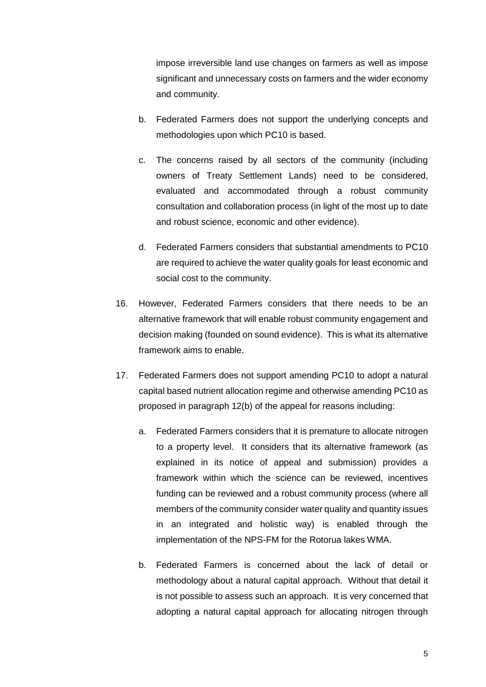impose irreversible land use changes on farmers as well as impose significant and unnecessary costs on farmers and the wider economy and community.

- b. Federated Farmers does not support the underlying concepts and methodologies upon which PC10 is based.
- c. The concerns raised by all sectors of the community (including owners of Treaty Settlement Lands) need to be considered, evaluated and accommodated through a robust community consultation and collaboration process (in light of the most up to date and robust science, economic and other evidence).
- d. Federated Farmers considers that substantial amendments to PC10 are required to achieve the water quality goals for least economic and social cost to the community.
- 16. However, Federated Farmers considers that there needs to be an alternative framework that will enable robust community engagement and decision making (founded on sound evidence). This is what its alternative framework aims to enable.
- 17. Federated Farmers does not support amending PC10 to adopt a natural capital based nutrient allocation regime and otherwise amending PC10 as proposed in paragraph 12(b) of the appeal for reasons including:
	- a. Federated Farmers considers that it is premature to allocate nitrogen to a property level. It considers that its alternative framework (as explained in its notice of appeal and submission) provides a framework within which the science can be reviewed, incentives funding can be reviewed and a robust community process (where all members of the community consider water quality and quantity issues in an integrated and holistic way) is enabled through the implementation of the NPS-FM for the Rotorua lakes WMA.
	- b. Federated Farmers is concerned about the lack of detail or methodology about a natural capital approach. Without that detail it is not possible to assess such an approach. It is very concerned that adopting a natural capital approach for allocating nitrogen through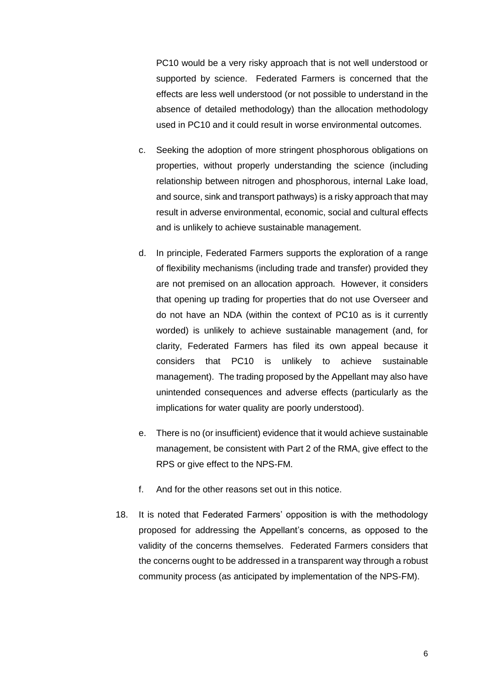PC10 would be a very risky approach that is not well understood or supported by science. Federated Farmers is concerned that the effects are less well understood (or not possible to understand in the absence of detailed methodology) than the allocation methodology used in PC10 and it could result in worse environmental outcomes.

- c. Seeking the adoption of more stringent phosphorous obligations on properties, without properly understanding the science (including relationship between nitrogen and phosphorous, internal Lake load, and source, sink and transport pathways) is a risky approach that may result in adverse environmental, economic, social and cultural effects and is unlikely to achieve sustainable management.
- d. In principle, Federated Farmers supports the exploration of a range of flexibility mechanisms (including trade and transfer) provided they are not premised on an allocation approach. However, it considers that opening up trading for properties that do not use Overseer and do not have an NDA (within the context of PC10 as is it currently worded) is unlikely to achieve sustainable management (and, for clarity, Federated Farmers has filed its own appeal because it considers that PC10 is unlikely to achieve sustainable management). The trading proposed by the Appellant may also have unintended consequences and adverse effects (particularly as the implications for water quality are poorly understood).
- e. There is no (or insufficient) evidence that it would achieve sustainable management, be consistent with Part 2 of the RMA, give effect to the RPS or give effect to the NPS-FM.
- f. And for the other reasons set out in this notice.
- 18. It is noted that Federated Farmers' opposition is with the methodology proposed for addressing the Appellant's concerns, as opposed to the validity of the concerns themselves. Federated Farmers considers that the concerns ought to be addressed in a transparent way through a robust community process (as anticipated by implementation of the NPS-FM).